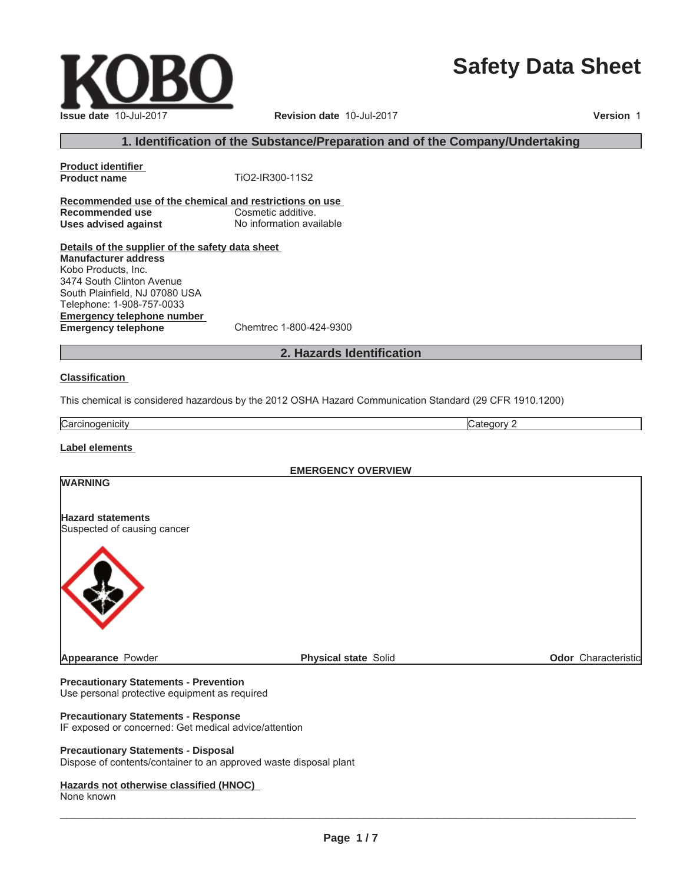# **Safety Data Sheet**

 $\_$  ,  $\_$  ,  $\_$  ,  $\_$  ,  $\_$  ,  $\_$  ,  $\_$  ,  $\_$  ,  $\_$  ,  $\_$  ,  $\_$  ,  $\_$  ,  $\_$  ,  $\_$  ,  $\_$  ,  $\_$  ,  $\_$  ,  $\_$  ,  $\_$  ,  $\_$  ,  $\_$  ,  $\_$  ,  $\_$  ,  $\_$  ,  $\_$  ,  $\_$  ,  $\_$  ,  $\_$  ,  $\_$  ,  $\_$  ,  $\_$  ,  $\_$  ,  $\_$  ,  $\_$  ,  $\_$  ,  $\_$  ,  $\_$  ,

**Product identifier**

**Recommended use of the chemical and restrictions on use Recommended use** Cosmetic additive. **Uses advised against** No information available

**Details of the supplier of the safety data sheet Emergency telephone number Emergency telephone** Chemtrec 1-800-424-9300 **Manufacturer address** Kobo Products, Inc. 3474 South Clinton Avenue South Plainfield, NJ 07080 USA Telephone: 1-908-757-0033

# **2. Hazards Identification**

#### **Classification**

This chemical is considered hazardous by the 2012 OSHA Hazard Communication Standard (29 CFR 1910.1200)

Carcinogenicity **Category 2** 

**Label elements**

**WARNING**

**EMERGENCY OVERVIEW**

#### **Hazard statements** Suspected of causing cancer

**Precautionary Statements - Prevention** Use personal protective equipment as required

#### **Precautionary Statements - Response**

IF exposed or concerned: Get medical advice/attention

#### **Precautionary Statements - Disposal**

Dispose of contents/container to an approved waste disposal plant

#### **Hazards not otherwise classified (HNOC)**

None known



**Issue date** 10-Jul-2017 **Revision date** 10-Jul-2017 **Version** 1 **1. Identification of the Substance/Preparation and of the Company/Undertaking**

**Appearance** Powder **Physical state** Solid **Physical state** Solid **Physical State** Solid **Odor** Characteristic

**Product name** TiO2-IR300-11S2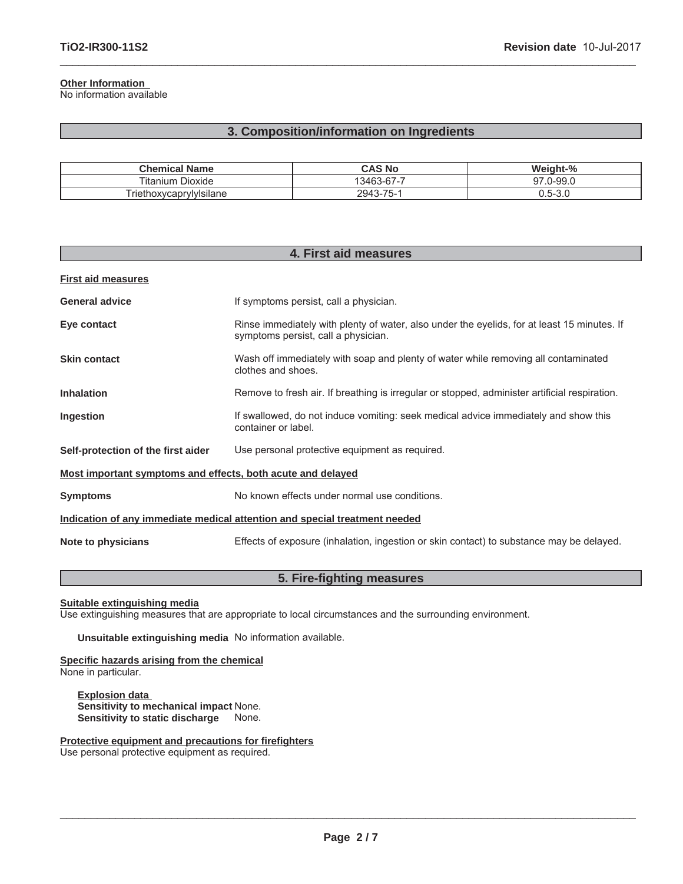### **Other Information**

No information available

# **3. Composition/information on Ingredients**

 $\_$  ,  $\_$  ,  $\_$  ,  $\_$  ,  $\_$  ,  $\_$  ,  $\_$  ,  $\_$  ,  $\_$  ,  $\_$  ,  $\_$  ,  $\_$  ,  $\_$  ,  $\_$  ,  $\_$  ,  $\_$  ,  $\_$  ,  $\_$  ,  $\_$  ,  $\_$  ,  $\_$  ,  $\_$  ,  $\_$  ,  $\_$  ,  $\_$  ,  $\_$  ,  $\_$  ,  $\_$  ,  $\_$  ,  $\_$  ,  $\_$  ,  $\_$  ,  $\_$  ,  $\_$  ,  $\_$  ,  $\_$  ,  $\_$  ,

| <b>Chemical Name</b>                | CAS No                 | Weight-%                                |
|-------------------------------------|------------------------|-----------------------------------------|
| ÷.<br>Dioxide<br>⊺itanium           | 13463-67-7             | $.0 - 99.0$<br>∩¬                       |
| $\cdots$<br>Friethoxycaprylylsilane | $-3 - 75 - 1$<br>2943- | $\overline{\phantom{0}}$<br>$0.5 - 3.6$ |

| 4. First aid measures                                                      |                                                                                                                                    |  |
|----------------------------------------------------------------------------|------------------------------------------------------------------------------------------------------------------------------------|--|
| <b>First aid measures</b>                                                  |                                                                                                                                    |  |
| <b>General advice</b>                                                      | If symptoms persist, call a physician.                                                                                             |  |
| Eye contact                                                                | Rinse immediately with plenty of water, also under the eyelids, for at least 15 minutes. If<br>symptoms persist, call a physician. |  |
| <b>Skin contact</b>                                                        | Wash off immediately with soap and plenty of water while removing all contaminated<br>clothes and shoes.                           |  |
| <b>Inhalation</b>                                                          | Remove to fresh air. If breathing is irregular or stopped, administer artificial respiration.                                      |  |
| Ingestion                                                                  | If swallowed, do not induce vomiting: seek medical advice immediately and show this<br>container or label.                         |  |
| Self-protection of the first aider                                         | Use personal protective equipment as required.                                                                                     |  |
| Most important symptoms and effects, both acute and delayed                |                                                                                                                                    |  |
| <b>Symptoms</b>                                                            | No known effects under normal use conditions.                                                                                      |  |
| Indication of any immediate medical attention and special treatment needed |                                                                                                                                    |  |
| Note to physicians                                                         | Effects of exposure (inhalation, ingestion or skin contact) to substance may be delayed.                                           |  |

# **5. Fire-fighting measures**

**Suitable extinguishing media**

Use extinguishing measures that are appropriate to local circumstances and the surrounding environment.

**Unsuitable extinguishing media** No information available.

**Specific hazards arising from the chemical** None in particular.

**Explosion data Sensitivity to mechanical impact** None. **Sensitivity to static discharge** None.

**Protective equipment and precautions for firefighters** Use personal protective equipment as required.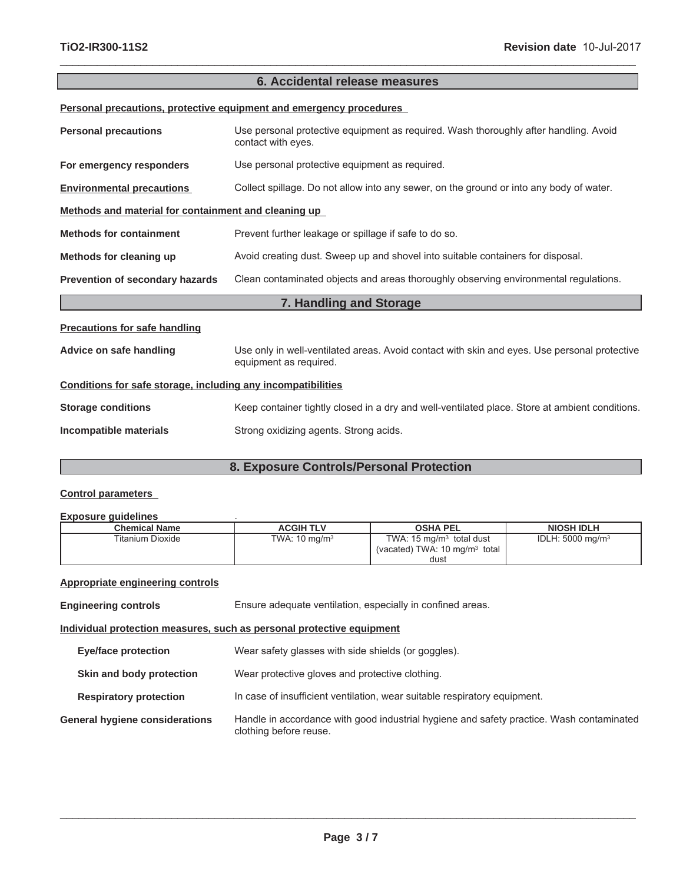# **6. Accidental release measures**

 $\_$  ,  $\_$  ,  $\_$  ,  $\_$  ,  $\_$  ,  $\_$  ,  $\_$  ,  $\_$  ,  $\_$  ,  $\_$  ,  $\_$  ,  $\_$  ,  $\_$  ,  $\_$  ,  $\_$  ,  $\_$  ,  $\_$  ,  $\_$  ,  $\_$  ,  $\_$  ,  $\_$  ,  $\_$  ,  $\_$  ,  $\_$  ,  $\_$  ,  $\_$  ,  $\_$  ,  $\_$  ,  $\_$  ,  $\_$  ,  $\_$  ,  $\_$  ,  $\_$  ,  $\_$  ,  $\_$  ,  $\_$  ,  $\_$  ,

**Personal precautions, protective equipment and emergency procedures**

| <b>Personal precautions</b>                                  | Use personal protective equipment as required. Wash thoroughly after handling. Avoid<br>contact with eyes.             |  |
|--------------------------------------------------------------|------------------------------------------------------------------------------------------------------------------------|--|
| For emergency responders                                     | Use personal protective equipment as required.                                                                         |  |
| <b>Environmental precautions</b>                             | Collect spillage. Do not allow into any sewer, on the ground or into any body of water.                                |  |
| Methods and material for containment and cleaning up         |                                                                                                                        |  |
| <b>Methods for containment</b>                               | Prevent further leakage or spillage if safe to do so.                                                                  |  |
| Methods for cleaning up                                      | Avoid creating dust. Sweep up and shovel into suitable containers for disposal.                                        |  |
| Prevention of secondary hazards                              | Clean contaminated objects and areas thoroughly observing environmental regulations.                                   |  |
|                                                              |                                                                                                                        |  |
|                                                              | 7. Handling and Storage                                                                                                |  |
| <b>Precautions for safe handling</b>                         |                                                                                                                        |  |
| Advice on safe handling                                      | Use only in well-ventilated areas. Avoid contact with skin and eyes. Use personal protective<br>equipment as required. |  |
| Conditions for safe storage, including any incompatibilities |                                                                                                                        |  |
| <b>Storage conditions</b>                                    | Keep container tightly closed in a dry and well-ventilated place. Store at ambient conditions.                         |  |

# **8. Exposure Controls/Personal Protection**

### **Control parameters**

#### **Exposure guidelines** .

| <b>Chemical Name</b> | <b>ACGIH TLV</b>         | <b>OSHA PEL</b>                                                                 | <b>NIOSH IDLH</b>            |
|----------------------|--------------------------|---------------------------------------------------------------------------------|------------------------------|
| Titanium Dioxide     | TWA: $10 \text{ ma/m}^3$ | TWA: $15 \text{ mg/m}^3$ total dust<br>(vacated) TWA: $10 \text{ mg/m}^3$ total | IDLH: 5000 mg/m <sup>3</sup> |
|                      |                          | dust                                                                            |                              |

#### **Appropriate engineering controls**

| <b>Engineering controls</b>                                           | Ensure adequate ventilation, especially in confined areas.                                                         |  |
|-----------------------------------------------------------------------|--------------------------------------------------------------------------------------------------------------------|--|
| Individual protection measures, such as personal protective equipment |                                                                                                                    |  |
| Eye/face protection                                                   | Wear safety glasses with side shields (or goggles).                                                                |  |
| Skin and body protection                                              | Wear protective gloves and protective clothing.                                                                    |  |
| <b>Respiratory protection</b>                                         | In case of insufficient ventilation, wear suitable respiratory equipment.                                          |  |
| <b>General hygiene considerations</b>                                 | Handle in accordance with good industrial hygiene and safety practice. Wash contaminated<br>clothing before reuse. |  |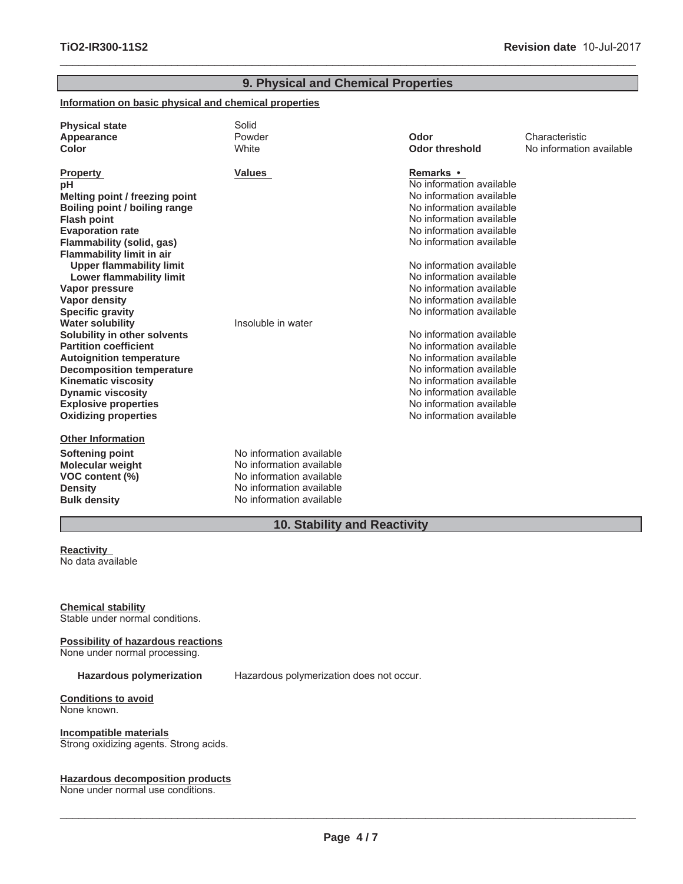| 9. Physical and Chemical Properties                                                                                                                                                                                                                                                                                                                                                                                                                                                                                                                                                                                                      |                                                                                                                                          |                                                                                                                                                                                                                                                                                                                                                                                                                                                                                                                                                               |                                            |
|------------------------------------------------------------------------------------------------------------------------------------------------------------------------------------------------------------------------------------------------------------------------------------------------------------------------------------------------------------------------------------------------------------------------------------------------------------------------------------------------------------------------------------------------------------------------------------------------------------------------------------------|------------------------------------------------------------------------------------------------------------------------------------------|---------------------------------------------------------------------------------------------------------------------------------------------------------------------------------------------------------------------------------------------------------------------------------------------------------------------------------------------------------------------------------------------------------------------------------------------------------------------------------------------------------------------------------------------------------------|--------------------------------------------|
| Information on basic physical and chemical properties                                                                                                                                                                                                                                                                                                                                                                                                                                                                                                                                                                                    |                                                                                                                                          |                                                                                                                                                                                                                                                                                                                                                                                                                                                                                                                                                               |                                            |
| <b>Physical state</b><br>Appearance<br>Color                                                                                                                                                                                                                                                                                                                                                                                                                                                                                                                                                                                             | Solid<br>Powder<br>White                                                                                                                 | Odor<br><b>Odor threshold</b>                                                                                                                                                                                                                                                                                                                                                                                                                                                                                                                                 | Characteristic<br>No information available |
| <b>Property</b><br>рH<br>Melting point / freezing point<br>Boiling point / boiling range<br><b>Flash point</b><br><b>Evaporation rate</b><br>Flammability (solid, gas)<br><b>Flammability limit in air</b><br><b>Upper flammability limit</b><br>Lower flammability limit<br>Vapor pressure<br><b>Vapor density</b><br><b>Specific gravity</b><br><b>Water solubility</b><br>Solubility in other solvents<br><b>Partition coefficient</b><br><b>Autoignition temperature</b><br><b>Decomposition temperature</b><br><b>Kinematic viscosity</b><br><b>Dynamic viscosity</b><br><b>Explosive properties</b><br><b>Oxidizing properties</b> | <b>Values</b><br>Insoluble in water                                                                                                      | Remarks •<br>No information available<br>No information available<br>No information available<br>No information available<br>No information available<br>No information available<br>No information available<br>No information available<br>No information available<br>No information available<br>No information available<br>No information available<br>No information available<br>No information available<br>No information available<br>No information available<br>No information available<br>No information available<br>No information available |                                            |
| <b>Other Information</b><br><b>Softening point</b><br><b>Molecular weight</b><br>VOC content (%)<br><b>Density</b><br><b>Bulk density</b>                                                                                                                                                                                                                                                                                                                                                                                                                                                                                                | No information available<br>No information available<br>No information available<br>No information available<br>No information available |                                                                                                                                                                                                                                                                                                                                                                                                                                                                                                                                                               |                                            |

 $\_$  ,  $\_$  ,  $\_$  ,  $\_$  ,  $\_$  ,  $\_$  ,  $\_$  ,  $\_$  ,  $\_$  ,  $\_$  ,  $\_$  ,  $\_$  ,  $\_$  ,  $\_$  ,  $\_$  ,  $\_$  ,  $\_$  ,  $\_$  ,  $\_$  ,  $\_$  ,  $\_$  ,  $\_$  ,  $\_$  ,  $\_$  ,  $\_$  ,  $\_$  ,  $\_$  ,  $\_$  ,  $\_$  ,  $\_$  ,  $\_$  ,  $\_$  ,  $\_$  ,  $\_$  ,  $\_$  ,  $\_$  ,  $\_$  ,

# **10. Stability and Reactivity**

**Reactivity** No data available

**Chemical stability** Stable under normal conditions.

**Possibility of hazardous reactions**

None under normal processing.

**Hazardous polymerization** Hazardous polymerization does not occur.

**Conditions to avoid** None known.

**Incompatible materials** Strong oxidizing agents. Strong acids.

#### **Hazardous decomposition products**

None under normal use conditions.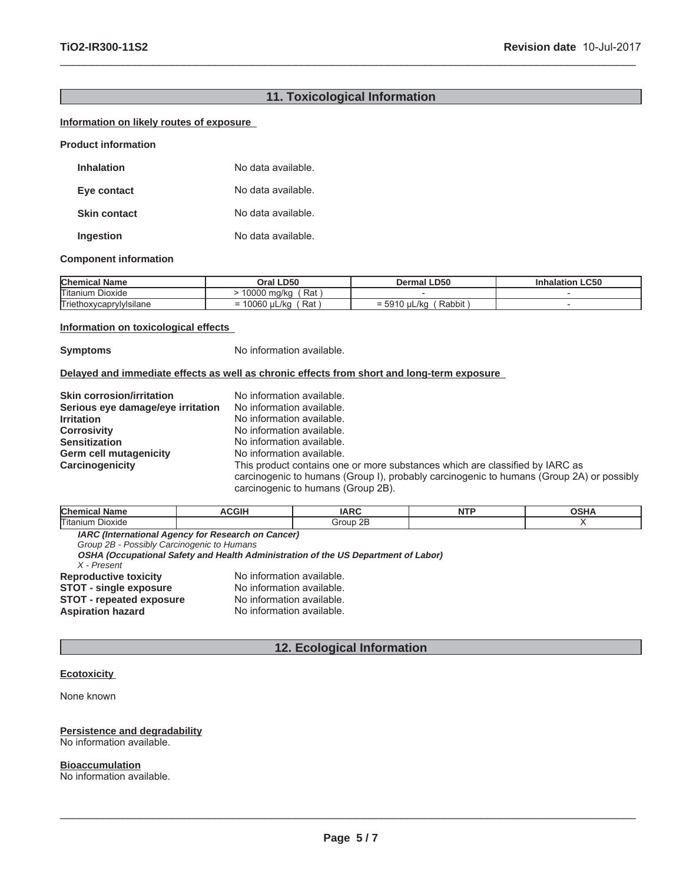# **11. Toxicological Information**

 $\_$  ,  $\_$  ,  $\_$  ,  $\_$  ,  $\_$  ,  $\_$  ,  $\_$  ,  $\_$  ,  $\_$  ,  $\_$  ,  $\_$  ,  $\_$  ,  $\_$  ,  $\_$  ,  $\_$  ,  $\_$  ,  $\_$  ,  $\_$  ,  $\_$  ,  $\_$  ,  $\_$  ,  $\_$  ,  $\_$  ,  $\_$  ,  $\_$  ,  $\_$  ,  $\_$  ,  $\_$  ,  $\_$  ,  $\_$  ,  $\_$  ,  $\_$  ,  $\_$  ,  $\_$  ,  $\_$  ,  $\_$  ,  $\_$  ,

#### **Information on likely routes of exposure**

**Product information**

| <b>Inhalation</b>   | No data available. |
|---------------------|--------------------|
| Eye contact         | No data available. |
| <b>Skin contact</b> | No data available. |
| Ingestion           | No data available. |

#### **Component information**

| <b>Chemical Name</b>       | Oral LD50                  | <b>Dermal LD50</b>                        | halation LC50 |
|----------------------------|----------------------------|-------------------------------------------|---------------|
| <b>Titanium</b><br>Dioxide | Rat<br>0000<br>ma/ka       |                                           |               |
| Triethoxycaprylylsilane    | Rat<br>10060<br>uL/ka<br>- | Rabbit<br>uL/ko<br>$=$ 5010<br>-<br>ນອ ເບ |               |

#### **Information on toxicological effects**

**Symptoms** No information available.

No information available.

#### **Delayed and immediate effects as well as chronic effects from short and long-term exposure**

| <b>Skin corrosion/irritation</b>  | No information available.                                                                |
|-----------------------------------|------------------------------------------------------------------------------------------|
| Serious eye damage/eye irritation | No information available.                                                                |
| <b>Irritation</b>                 | No information available.                                                                |
| <b>Corrosivity</b>                | No information available.                                                                |
| <b>Sensitization</b>              | No information available.                                                                |
| <b>Germ cell mutagenicity</b>     | No information available.                                                                |
| Carcinogenicity                   | This product contains one or more substances which are classified by IARC as             |
|                                   | carcinogenic to humans (Group I), probably carcinogenic to humans (Group 2A) or possibly |
|                                   | carcinogenic to humans (Group 2B).                                                       |

| <b>Chemical Name</b>                       | <b>ACGIH</b>                                                                       | <b>IARC</b> | NTP | <b>OSHA</b> |
|--------------------------------------------|------------------------------------------------------------------------------------|-------------|-----|-------------|
| Titanium Dioxide                           |                                                                                    | Group 2B    |     |             |
|                                            | <b>IARC (International Agency for Research on Cancer)</b>                          |             |     |             |
| Group 2B - Possibly Carcinogenic to Humans |                                                                                    |             |     |             |
|                                            | OSHA (Occupational Safety and Health Administration of the US Department of Labor) |             |     |             |
| X - Present                                |                                                                                    |             |     |             |
| _________                                  |                                                                                    |             |     |             |

**Reproductive toxicity** No information available.<br>**STOT - single exposure** No information available. **STOT - single exposure** No information available.<br> **STOT - repeated exposure** No information available. **STOT - repeated exposure<br>Aspiration hazard** 

# **12. Ecological Information**

#### **Ecotoxicity**

None known

#### **Persistence and degradability** No information available.

**Bioaccumulation**

No information available.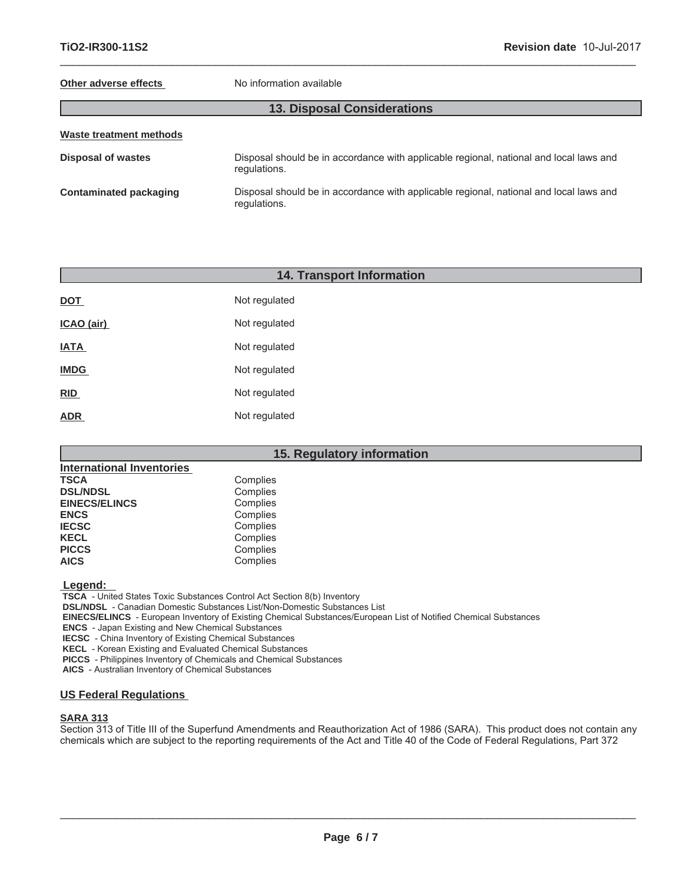#### **Other adverse effects** No information available

 $\_$  ,  $\_$  ,  $\_$  ,  $\_$  ,  $\_$  ,  $\_$  ,  $\_$  ,  $\_$  ,  $\_$  ,  $\_$  ,  $\_$  ,  $\_$  ,  $\_$  ,  $\_$  ,  $\_$  ,  $\_$  ,  $\_$  ,  $\_$  ,  $\_$  ,  $\_$  ,  $\_$  ,  $\_$  ,  $\_$  ,  $\_$  ,  $\_$  ,  $\_$  ,  $\_$  ,  $\_$  ,  $\_$  ,  $\_$  ,  $\_$  ,  $\_$  ,  $\_$  ,  $\_$  ,  $\_$  ,  $\_$  ,  $\_$  ,

| Waste treatment methods |                                                                                                        |  |
|-------------------------|--------------------------------------------------------------------------------------------------------|--|
| Disposal of wastes      | Disposal should be in accordance with applicable regional, national and local laws and<br>regulations. |  |
| Contaminated packaging  | Disposal should be in accordance with applicable regional, national and local laws and<br>regulations. |  |

# **14. Transport Information**

| <b>DOT</b>  | Not regulated |
|-------------|---------------|
| ICAO (air)  | Not regulated |
| <b>IATA</b> | Not regulated |
| <b>IMDG</b> | Not regulated |
| <b>RID</b>  | Not regulated |
| <b>ADR</b>  | Not regulated |

# **15. Regulatory information**

| <b>International Inventories</b> |          |
|----------------------------------|----------|
| <b>TSCA</b>                      | Complies |
| <b>DSL/NDSL</b>                  | Complies |
| <b>EINECS/ELINCS</b>             | Complies |
| <b>ENCS</b>                      | Complies |
| <b>IECSC</b>                     | Complies |
| <b>KECL</b>                      | Complies |
| <b>PICCS</b>                     | Complies |
| <b>AICS</b>                      | Complies |

 **Legend:** 

 **TSCA** - United States Toxic Substances Control Act Section 8(b) Inventory

 **DSL/NDSL** - Canadian Domestic Substances List/Non-Domestic Substances List

 **EINECS/ELINCS** - European Inventory of Existing Chemical Substances/European List of Notified Chemical Substances

 **ENCS** - Japan Existing and New Chemical Substances

 **IECSC** - China Inventory of Existing Chemical Substances

 **KECL** - Korean Existing and Evaluated Chemical Substances

 **PICCS** - Philippines Inventory of Chemicals and Chemical Substances

 **AICS** - Australian Inventory of Chemical Substances

#### **US Federal Regulations**

### **SARA 313**

Section 313 of Title III of the Superfund Amendments and Reauthorization Act of 1986 (SARA). This product does not contain any chemicals which are subject to the reporting requirements of the Act and Title 40 of the Code of Federal Regulations, Part 372